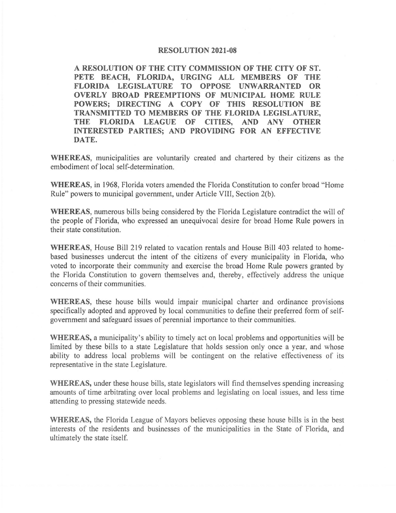## **RESOLUTION 2021-08**

**A RESOLUTION OF THE CITY COMMISSION OF THE CITY OF ST. PETE BEACH, FLORIDA, URGING ALL MEMBERS OF THE FLORIDA LEGISLATURE TO OPPOSE UNWARRANTED OR OVERLY BROAD PREEMPTIONS OF MUNICIPAL HOME RULE POWERS; DIRECTING A COPY OF THIS RESOLUTION BE TRANSMITTED TO MEMBERS OF THE FLORIDA LEGISLATURE, THE FLORIDA LEAGUE OF CITIES, AND ANY OTHER INTERESTED PARTIES; AND PROVIDING FOR AN EFFECTIVE DATE.** 

**WHEREAS,** municipalities are voluntarily created and chartered by their citizens as the embodiment of local self-determination.

**WHEREAS,** in 1968, Florida voters amended the Florida Constitution to confer broad "Home Rule" powers to municipal government, under Article VIII, Section 2(b).

**WHEREAS,** numerous bills being considered by the Florida Legislature contradict the will of the people of Florida, who expressed an unequivocal desire for broad Home Rule powers in their state constitution.

**WHEREAS,** House Bill 219 related to vacation rentals and House Bill 403 related to homebased businesses undercut the intent of the citizens of every municipality in Florida, who voted to incorporate their community and exercise the broad Home Rule powers granted by the Florida Constitution to govern themselves and, thereby, effectively address the unique concerns of their communities.

**WHEREAS**, these house bills would impair municipal charter and ordinance provisions specifically adopted and approved by local communities to define their preferred form of selfgovernment and safeguard issues of perennial importance to their communities.

**WHEREAS,** a municipality's ability to timely act on local problems and opportunities will be limited by these bills to a state Legislature that holds session only once a year, and whose ability to address local problems will be contingent on the relative effectiveness of its representative in the state Legislature.

**WHEREAS,** under these house bills, state legislators will find themselves spending increasing amounts of time arbitrating over local problems and legislating on local issues, and less time attending to pressing statewide needs.

**WHEREAS,** the Florida League of Mayors believes opposing these house bills is in the best interests of the residents and businesses of the municipalities in the State of Florida, and ultimately the state itself.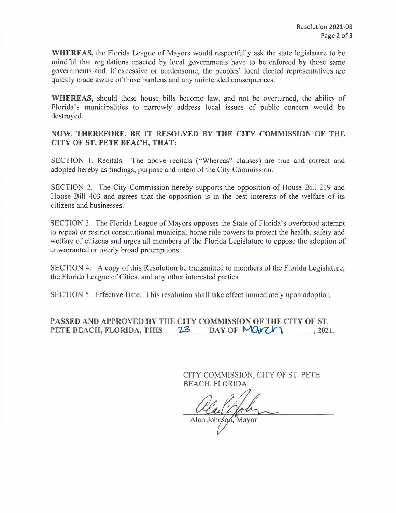**WHEREAS,** the Florida League of Mayors would respectfully ask the state legislature to be mindful that regulations enacted by local governments have to be enforced by those same governments and, if excessive or burdensome, the peoples' local elected representatives are quickly made aware of those burdens and any unintended consequences.

**WHEREAS,** should these house bills become law, and not be overturned, the ability of Florida's municipalities to narrowly address local issues of public concern would be destroyed.

## **NOW, THEREFORE, BE IT RESOLVED BY THE CITY COMMISSION OF THE CITY OF ST. PETE BEACH, THAT:**

SECTION 1. Recitals. The above recitals ("Whereas" clauses) are true and correct and adopted hereby as findings, purpose and intent of the City Commission.

SECTION 2. The City Commission hereby supports the opposition of House Bill 219 and House Bill 403 and agrees that the opposition is in the best interests of the welfare of its citizens and businesses.

SECTION 3. The Florida League of Mayors opposes the State of Florida's overbroad attempt to repeal or restrict constitutional municipal home rule powers to protect the health, safety and welfare of citizens and urges all members of the Florida Legislature to oppose the adoption of unwarranted or overly broad preemptions.

SECTION 4. A copy of this Resolution be transmitted to members of the Florida Legislature, the Florida League of Cities, and any other interested parties.

SECTION 5. Effective Date. This resolution shall take effect immediately upon adoption.

**PASSED AND APPROVED BY THE CITY COMMISSION OF THE CITY OF ST. PETE BEACH, FLORIDA, THIS 23 DAY OF MOVE 10** , 2021.

> CITY COMMISSION, CITY OF ST. PETE BEACH, FLORIDA.

alla Mah